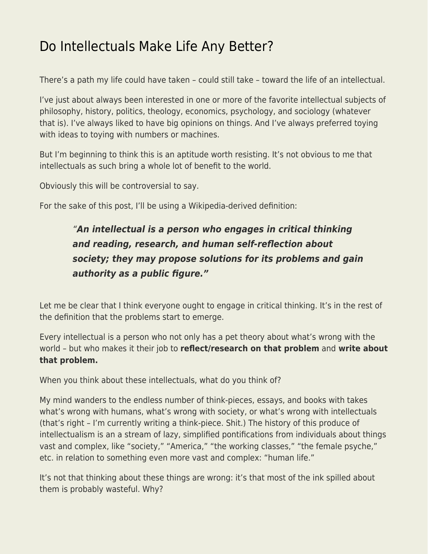## [Do Intellectuals Make Life Any Better?](https://everything-voluntary.com/do-intellectuals-make-life-any-better)

There's a path my life could have taken – could still take – toward the life of an intellectual.

I've just about always been interested in one or more of the favorite intellectual subjects of philosophy, history, politics, theology, economics, psychology, and sociology (whatever that is). I've always liked to have big opinions on things. And I've always preferred toying with ideas to toying with numbers or machines.

But I'm beginning to think this is an aptitude worth resisting. It's not obvious to me that intellectuals as such bring a whole lot of benefit to the world.

Obviously this will be controversial to say.

For the sake of this post, I'll be using a Wikipedia-derived definition:

## "*An intellectual is a person who engages in critical thinking and reading, research, and human self-reflection about society; they may propose solutions for its problems and gain authority as a public figure."*

Let me be clear that I think everyone ought to engage in critical thinking. It's in the rest of the definition that the problems start to emerge.

Every intellectual is a person who not only has a pet theory about what's wrong with the world – but who makes it their job to **reflect/research on that problem** and **write about that problem.**

When you think about these intellectuals, what do you think of?

My mind wanders to the endless number of think-pieces, essays, and books with takes what's wrong with humans, what's wrong with society, or what's wrong with intellectuals (that's right – I'm currently writing a think-piece. Shit.) The history of this produce of intellectualism is an a stream of lazy, simplified pontifications from individuals about things vast and complex, like "society," "America," "the working classes," "the female psyche," etc. in relation to something even more vast and complex: "human life."

It's not that thinking about these things are wrong: it's that most of the ink spilled about them is probably wasteful. Why?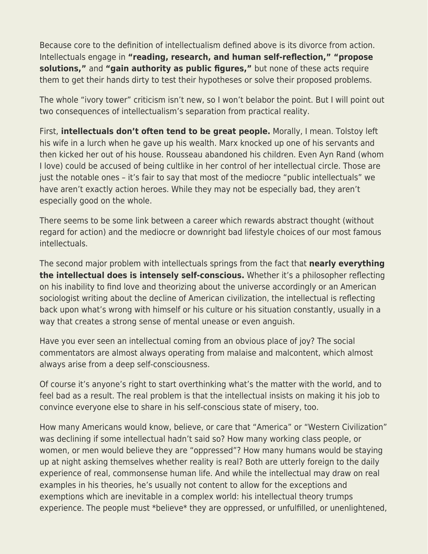Because core to the definition of intellectualism defined above is its divorce from action. Intellectuals engage in **"reading, research, and human self-reflection," "propose solutions,"** and **"gain authority as public figures,"** but none of these acts require them to get their hands dirty to test their hypotheses or solve their proposed problems.

The whole "ivory tower" criticism isn't new, so I won't belabor the point. But I will point out two consequences of intellectualism's separation from practical reality.

First, **intellectuals don't often tend to be great people.** Morally, I mean. Tolstoy left his wife in a lurch when he gave up his wealth. Marx knocked up one of his servants and then kicked her out of his house. Rousseau abandoned his children. Even Ayn Rand (whom I love) could be accused of being cultlike in her control of her intellectual circle. Those are just the notable ones – it's fair to say that most of the mediocre "public intellectuals" we have aren't exactly action heroes. While they may not be especially bad, they aren't especially good on the whole.

There seems to be some link between a career which rewards abstract thought (without regard for action) and the mediocre or downright bad lifestyle choices of our most famous intellectuals.

The second major problem with intellectuals springs from the fact that **nearly everything the intellectual does is intensely self-conscious.** Whether it's a philosopher reflecting on his inability to find love and theorizing about the universe accordingly or an American sociologist writing about the decline of American civilization, the intellectual is reflecting back upon what's wrong with himself or his culture or his situation constantly, usually in a way that creates a strong sense of mental unease or even anguish.

Have you ever seen an intellectual coming from an obvious place of joy? The social commentators are almost always operating from malaise and malcontent, which almost always arise from a deep self-consciousness.

Of course it's anyone's right to start overthinking what's the matter with the world, and to feel bad as a result. The real problem is that the intellectual insists on making it his job to convince everyone else to share in his self-conscious state of misery, too.

How many Americans would know, believe, or care that "America" or "Western Civilization" was declining if some intellectual hadn't said so? How many working class people, or women, or men would believe they are "oppressed"? How many humans would be staying up at night asking themselves whether reality is real? Both are utterly foreign to the daily experience of real, commonsense human life. And while the intellectual may draw on real examples in his theories, he's usually not content to allow for the exceptions and exemptions which are inevitable in a complex world: his intellectual theory trumps experience. The people must \*believe\* they are oppressed, or unfulfilled, or unenlightened,